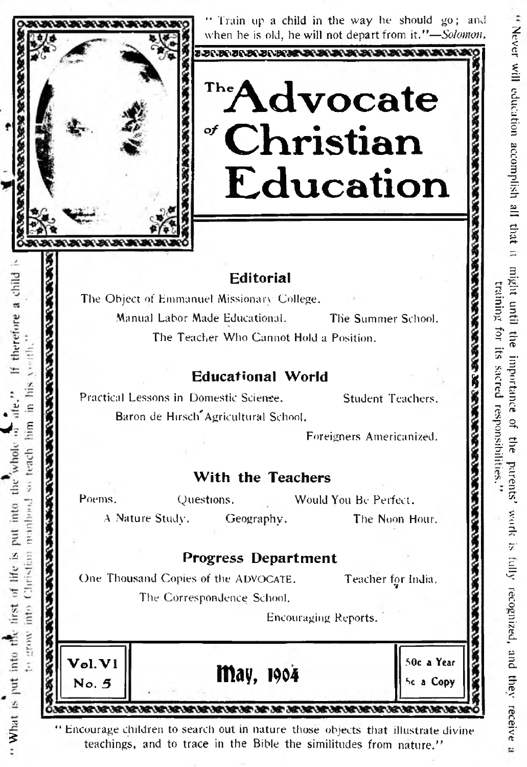

" Train up a child in the way he should go; and when he is old, he will not depart from it."-Solomon.

# <sup>The</sup> $\mathbf \Lambda$ d vocate *o f* **Christian Education**

### Editorial

The Object of Emmanuel Missionary College. Manual Labor Made Educational. The Summer School.

The Teacher Who Cannot Hold a Position.

### Educational World

Practical Lessons in Domestic Science. Student Teachers. Baron de Hirsch Agricultural School.

Foreigners Americanized.

### With the Teachers

Poems. **Questions.** Would You Be Perfect.

therefore

a child

.a-» c \*  $\blacktriangledown$   $\in$ 

> ci **r. ~**

> > int

ź.

rach

 $\overline{z}$ £

A Nature Study. Geography. The Noon Hour.

### Progress Department

One Thousand Copies of the ADVOCATE.

The Correspondence School.

Teacher for India.

Encouraging Reports.



" Encourage children to search out in nature those objects that illustrate divine teachings, and to trace in the Bible the similitudes from nature."

«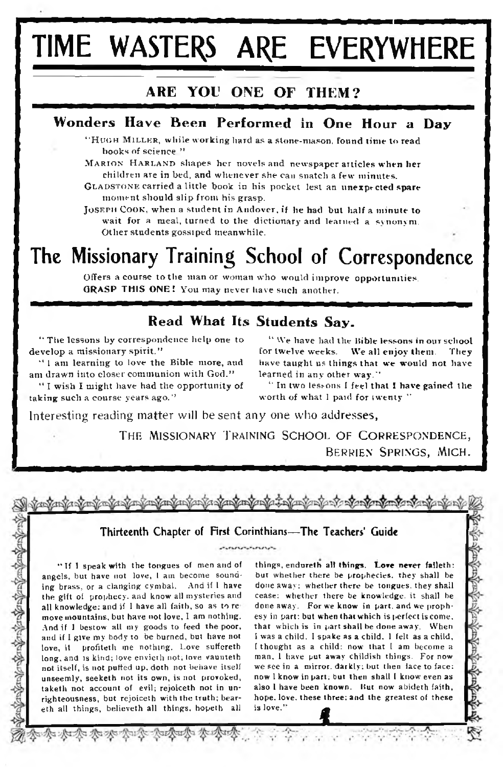# TIME WASTERS ARE EVERYWHERE

### **ARE YOU ONE OF THEM?**

### **Wonders Have Been Performed in One Hour a Day**

"HUGH MILLER, while working hard as a stone-mason, found time to read **books of science "**

**M a r io n H a r l a n d shapes her novels and newspaper aiticles when her children are in bed, and whenever she can snatch a few minutes.**

GLADSTONE carried a little book in his pocket lest an unexpected spare **moment should slip from his grasp.**

**Jo se ph C o o k , w h en a stu d en t in A n d o v er , if lie had but h alf a m inute to wait for a meal, turned to the dictionary and learned a synonym.** Other students gossiped meanwhile.

## The Missionary Training School of Correspondence

Offers a course to the man or woman who would improve opportunities. GRASP THIS ONE! You may never have such another.

#### **Read What Its Students Say.**

" The lessons by correspondence help one to develop a missionary spirit."

\*' 1 am learning to love the Bible more, and am drawn into closer communion with God."

<sup>11</sup> I wish I might have had the opportunity of taking such a course years ago."

<sup>14</sup> We have had the Bible lessons in our school for twelve weeks. We all enjoy them. They have taught us things that we would not have learned in any other way."

" In two lessons I feel that I have gained the worth of what I paid for twenty."

Interesting reading matter will be sent any one who addresses,

**T h e M i s s i o n a r y T r a i n in g S c h o o l o f C o r r e s p o n d e n c e , BERRIEN SPRINGS, MICH.** 

Thirteenth Chapter of First Corinthians— The Teachers' Guide  $\overline{1}$ 

" If 1 speak with the tongues of men and of angels, but have not love, I am become sounding brass, or a clanging cym bal. And if 1 have the gift of prophecy, and know all mysteries and all knowledge; and if 1 have all faith, so as to re move mountains, but have not love, I am nothing. And if I bestow all my goods to feed the poor, and if I give my body to be burned, but have not love, it profiteth me nothing. Love suffereth long, and is kind; love envieth not; love vaunteth not itself, is not puffed up, doth not behave itself unseemly, seeketh not its own, is not provoked, taketh not account of evil; rejoiceth not in unrighteousness, but rejoiceth with the truth; beareth all things, believeth all things, hopeth all

2002年10月10日, 中国中国中国中国中国中国中国

things, endureth all things. Love never faileth: but whether there be prophecies, they shall be done away; whether there be tongues, they shall cease; whether there be knowledge, it shall be done away. For we know in part, and we prophesy in part; but when that which is perfect is come, that which is in part shall be done away. When I was a child. I spake as a child. 1 felt as a child, I thought as a child: now that I am become a man. 1 have put away childish things. For now we see in a mirror, darkly; but then face to face: now 1 know in part; but then shall I know even as also 1 have been known. Ifut now abideth faith, hope. love, these three; and the greatest of these is love."

a Maryangan yang a

J .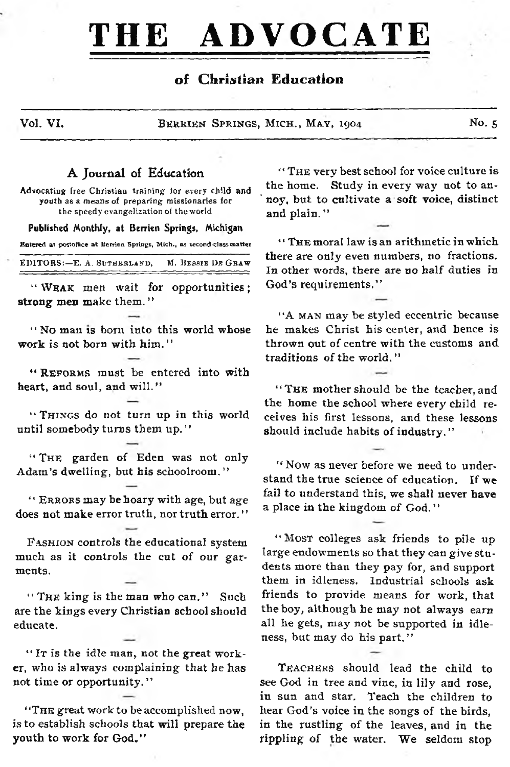# **THE ADVOCATE**

#### **of Christian Education**

Vol. VI. BERRIEN SPRINGS, MICH., MAY, 1904 No. 5

#### A Journal of Education

A dvocating free Christian training tor every child and youth as a means of preparing missionaries for the speedy evangelization ot the world

Published Monthly, at Berrien Springs, Michigan

Entered at postoffice at Berrien Springs, Mich., as second-class matter

| EDITORS:-E. A. SUTHERLAND, |  |  |  | M. BESSIE DE GRAW |
|----------------------------|--|--|--|-------------------|

" WEAK men wait for opportunities; strong men make them."

 $''$  No man is born into this world whose work is not born with him. "

"REFORMS must be entered into with heart, and soul, and will."

" THINGS do not turn up in this world until somebody turns them up."

"THE garden of Eden was not only Adam 's dwelling, but his schoolroom."

" ERRORS may be hoary with age, but age does not make error truth, nor truth error."

FASHION controls the educational system much as it controls the cut of our garments.

" THE king is the man who can." Such are the kings every Christian school should educate.

"Ir is the idle man, not the great worker, who is always complaining that he has not time or opportunity. "

"THE great work to be accomplished now, is to establish schools that will prepare the youth to work for God."

" THE very best school for voice culture is the home. Study in every way not to an noy, but to cultivate a soft voice, distinct and plain."

" THE moral law is an arithmetic in which there are only even numbers, no fractions. In other words, there are no half duties in God's requirements,"

"A MAN may be styled eccentric because he makes Christ his center, and hence is thrown out of centre with the customs and. traditions of the world."

"THE mother should be the teacher, and the home the school where every child receives his first lessons, and these lessons should include habits of industry. "

" Now as never before we need to understand the true science of education. If we fail to understand this, we shall never have a place in the kingdom of God. "

" Most colleges ask friends to pile up large endowments so that they can give students more than they pay for, and support them in idleness. Industrial schools ask friends to provide means for work, that the boy, although he may not always earn all he gets, may not be supported in idleness, but may do his part."

TEACHERS should lead the child to see God in tree and vine, in lily and rose, in sun and star. Teach the children to hear God's voice in the songs of the birds, in the rustling of the leaves, and in the rippling of the water. We seldom stop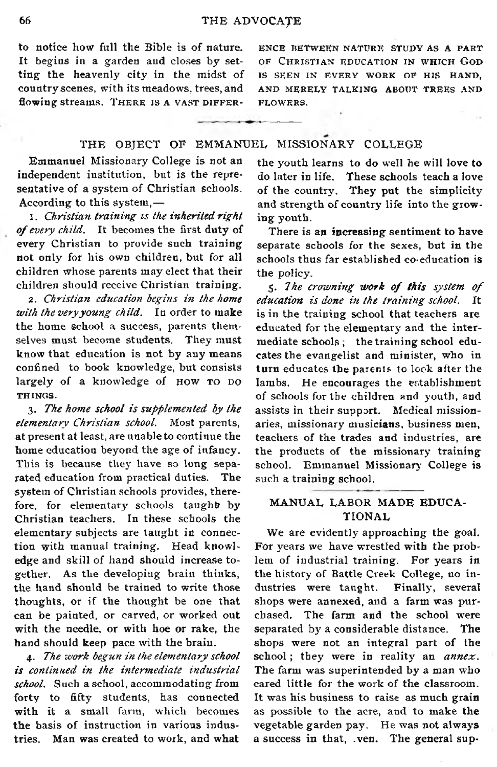to notice how full the Bible is of nature. It begins in a garden and closes by setting the heavenly city in the midst of country scenes, with its meadows, trees, and flowing streams. THERE IS A VAST DIFFER-

ENCE BETWEEN NATURE STUDY AS A PART OF CHRISTIAN EDUCATION IN WHICH GOD IS SEEN IN EVERY WORK OF HIS HAND, AND MERELY TALKING ABOUT TREES AND FLOWERS.

#### THE OBJECT OF EMMANUEL MISSIONARY COLLEGE

Emmanuel Missionary College is not an independent institution, but is the representative of a system of Christian schools. According to this system,—

1. *Christian training is the inherited right* of every child. It becomes the first duty of every Christian to provide such training not only for his own children, but for all children whose parents may elect that their children should receive Christian training.

2. *Christian education begins in the home with the very young child.* In order to make the home school a success, parents themselves must become students. They must know that education is not by any means confined to book knowledge, but consists largely of a knowledge of  $HOW$  TO DO THINGS.

3. *The home school is supplemented by the elementary Christian school.* Most parents, at present at least, are unable to continue the home education beyond the age of infancy. This is because they have so long separated education from practical duties. The system of Christian schools provides, therefore, for elementary schools taught by Christian teachers. In these schools the elementary subjects are taught in connection with manual training. Head knowledge and skill of hand should increase together. As the developing brain thinks, the hand should be trained to write those thoughts, or if the thought be one that can be painted, or carved, or worked out with the needle, or with hoe or rake, the hand should keep pace with the brain.

4. *The work begun in the elementary school is continued in the intermediate industrial school*. Such a school, accommodating from forty to fifty students, has connected with it a small farm, which becomes the basis of instruction in various industries. Man was created to work, and what

the youth learns to do well he will love to do later in life. These schools teach a love of the country. They put the simplicity and strength of country life into the growing youth.

There is an increasing sentiment to have separate schools for the sexes, but in the schools thus far established co-education is the policy.

5. The crowning work of this system of *education is done in the training school.* It is in the training school that teachers are educated for the elementary and the intermediate schools ; the training school educates the evangelist and minister, who in turn educates the parents to look after the lambs. He encourages the establishment of schools for the children and youth, and assists in their support. Medical missionaries, missionary musicians, business men, teachers of the trades and industries, are the products of the missionary training school. Emmanuel Missionary College is such a training school.

#### MANUAL LABOR MADE EDUCA-**TIONAL**

We are evidently approaching the goal. For years we have wrestled with the problem of industrial training. For years in the history of Battle Creek College, no industries were taught. Finally, several shops were annexed, and a farm was purchased. The farm and the school were separated by a considerable distance. The shops were not an integral part of the school ; they were in reality an *annex.* The farm was superintended by a man who cared little for the work of the classroom. It was his business to raise as much grain as possible to the acre, and to make the vegetable garden pay. He was not always a success in that, .ven. The general sup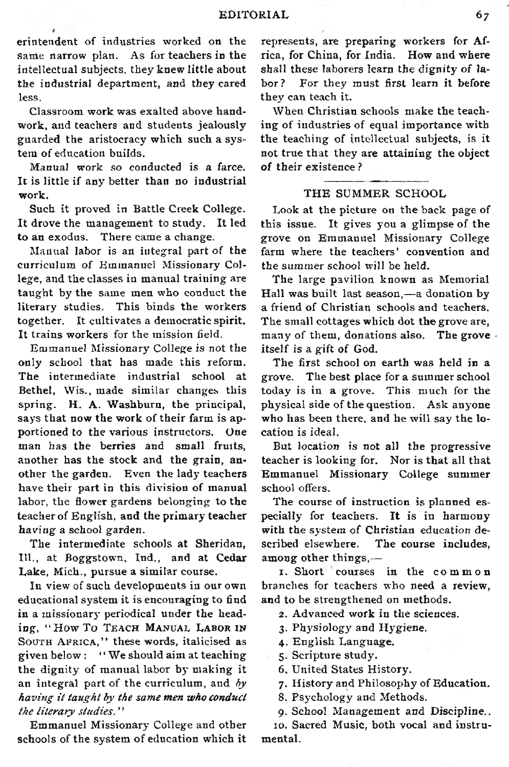erintendent of industries worked on the same narrow plan. As for teachers in the intellectual subjects, they knew little about the industrial department, and they cared less.

Classroom work was exalted above handwork, and teachers and students jealously guarded the aristocracy which such a system of education builds.

Manual work so conducted is a farce. It is little if any better than no industrial work.

Such it proved in Battle Creek College. It drove the management to study. It led to an exodus. There came a change.

Manual labor is an integral part of the curriculum of Emmanuel Missionary College, and the classes in manual training are taught by the same men who conduct the literary studies. This binds the workers together. It cultivates a democratic spirit. It trains workers for the mission field.

Emmanuel Missionary College is not the only school that has made this reform. The intermediate industrial school at Bethel, Wis., made similar changes this spring. H. A. Washburn, the principal, says that now the work of their farm is apportioned to the various instructors. One man has the berries and small fruits, another has the stock and the grain, another the garden. Even the lady teachers have their part in this division of manual labor, the flower gardens belonging to the teacher of English, and the primary teacher having a school garden.

The intermediate schools at Sheridan, **111**., at Boggstown, Ind., and at Cedar Lake, Mich., pursue a similar course.

In view of such developments in our own educational system it is encouraging to find in a missionary' periodical under the heading, "How To TEACH MANUAL LABOR IN SOUTH AFRICA," these words, italicised as given below : "We should aim at teaching the dignity of manual labor by making it an integral part of the curriculum, and *by having it taught by the same men who conduct the literary studies.*"

Emmanuel Missionary College and other schools of the system of education which it represents, are preparing workers for Africa, for China, for India. How and where shall these laborers learn the dignity of labor? For they must first learn it before they can teach it.

When Christian schools make the teaching of industries of equal importance with the teaching of intellectual subjects, is it not true that they are attaining the object of their existence ?

#### THE SUMMER SCHOOL

Look at the picture on the back page of this issue. It gives you a glimpse of the grove on Emmanuel Missionary College farm where the teachers' convention and the summer school will be held.

The large pavilion known as Memorial Hall was built last season,— a donation by a friend of Christian schools and teachers. The small cottages which dot the grove are, many of them, donations also. The grove itself is a gift of God.

The first school on earth was held in a grove. The best place for a summer school today is in a grove. This much for the physical side of the question. Ask anyone who has been there, and he will say the location is ideal.

But location is not all the progressive teacher is looking for. Nor is that all that Emmanuel Missionary College summer school offers.

The course of instruction is planned especially for teachers. It is in harmony with the system of Christian education described elsewhere. The course includes, among other things,—

1. Short courses in the common branches for teachers who need a review, and to be strengthened on methods.

2. Advanced work in the sciences.

3. Physiology' and Hygiene.

4. English Language.

5. Scripture study.

6. United States History.

7. History and Philosophy of Education.

8. Psychology and Methods.

9. School Management and Discipline..

10. Sacred Music, both vocal and instrumental.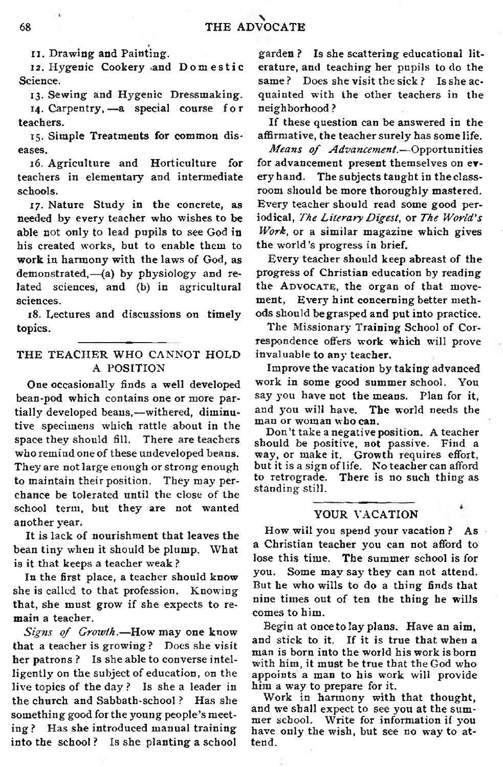11. Drawing and Painting.

12. Hygenic Cookery and Domestic Science.

13. Sewing and Hygenic Dressmaking.

14. Carpentry, —a special course for teachers.

15. Simple Treatments for common diseases.

16. Agriculture and Horticulture for teachers in elementary and intermediate schools.

17. Nature Study in the concrete, as needed by every teacher who wishes to be able not only to lead pupils to see God in his created works, but to enable them to work in harmony with the laws of God, as demonstrated,-(a) by physiology and related sciences, and (b) in agricultural sciences.

18. Lectures and discussions on timely topics.

#### THE TEACHER WHO CANNOT HOLD A POSITION

One occasionally finds a well developed bean-pod which contains one or more partially developed beaus,— withered, diminutive specimens which rattle about in the space they should fill. There are teachers who remind one of these undeveloped beans. They are not large enough or strong enough to maintain their position. They may perchance be tolerated until the close of the school term, but they are not wanted another year.

It is lack of nourishment that leaves the bean tiny when it should be plump. What is it that keeps a teacher weak ?

In the first place, a teacher should know she is called to that profession. Knowing that, she must grow if she expects to remain a teacher.

*Signs of Growth*.— How may one know that a teacher is growing? Does she visit her patrons ? Is she able to converse intelligently on the subject of education, on the live topics of the day ? Is she a leader in the church and Sabbath-school ? Has she something good for the young people's meeting ? Has she introduced manual training into the school ? Is she planting a school

garden ? Is she scattering educational literature, and teaching her pupils to do the same? Does she visit the sick? Is she acquainted with the other teachers in the neighborhood ?

If these question can be answered in the affirmative, the teacher surely has some life.

*Means of Advancement*. - Opportunities for advancement present themselves on every hand. The subjects taught in the classroom should be more thoroughly mastered. Every teacher should read some good periodical, *The Literary Digest,* or *The World's Work*, or a similar magazine which gives the world's progress in brief.

Every teacher should keep abreast of the progress of Christian education by reading the ADVOCATE, the organ of that movement, Every hint concerning better methods should be grasped and put into practice.

The Missionary Training School of Correspondence offers work which will prove invaluable to any teacher.

Improve the vacation by taking advanced work in some good summer school. You say you have not the means. Plan for it. and you will have. The world needs the man or woman who can.

Don't take a negative position. A teacher should be positive, not passive. Find a way, or make it. Growth requires effort, but it is a sign of life. No teacher can afford to retrograde. There is no such thing as standing still.

#### YOUR VACATION

How will you spend your vacation? As a Christian teacher you can not afford to lose this time. The summer school is for you. Some may say they can not attend. But he who wills to do a thing finds that nine times out of ten the thing he wills comes to him.

Begin at once to lay plans. Have an aim, and stick to it. If it is true that when a man is born into the world his work is born with him, it must be true that the God who appoints a man to his work will provide him a way to prepare for it.

Work in harmony with that thought, and we shall expect to see you at the summer school. Write for information if you have only the wish, but see no way to attend.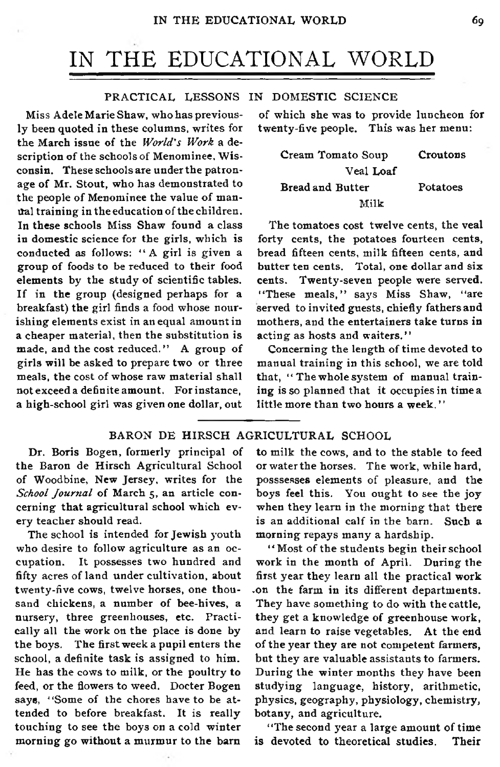# IN THE EDUCATIONAL WORLD

#### PRACTICAL LESSONS IN DOMESTIC SCIENCE

Miss Adele Marie Shaw, who has previously been quoted in these columns, writes for the March issue of the *World's Work* a description of the schools of Menominee, Wisconsin. These schools are under the patronage of Mr. Stout, who has demonstrated to the people of Menominee the value of manual training in the education of the children. In these schools Miss Shaw found a class in domestic science for the girls, which is conducted as follows: " A girl is given a group of foods to be reduced to their food elements by the study of scientific tables. If in the group (designed perhaps for a breakfast) the girl finds a food whose nourishing elements exist in an equal amount in a cheaper material, then the substitution is made, and the cost reduced." A group of girls will be asked to prepare two or three meals, the cost of whose raw material shall not exceed a definite amount. For instance, a high-school girl was given one dollar, out

of which she was to provide luncheon for twenty-five people. This was her menu:

| Cream Tomato Soup | Croutons |
|-------------------|----------|
| Veal Loaf         |          |
| Bread and Butter  | Potatoes |
| Milk              |          |

The tomatoes cost twelve cents, the veal forty cents, the potatoes fourteen cents, bread fifteen cents, milk fifteen cents, and butter ten cents. Total, one dollar and six cents. Twenty-seven people were served. "These meals," says Miss Shaw, "are served to invited guests, chiefly fathers and mothers, and the entertainers take turns in acting as hosts and waiters."

Concerning the length of time devoted to manual training in this school, we are told that, "The whole system of manual training is so planned that it occupies in time a little more than two hours a week.<sup>"</sup>

#### BARON DE HIRSCH AGRICULTURAL SCHOOL

Dr. Boris Bogen, formerly principal of the Baron de Hirsch Agricultural School of Woodbine, New Jersey, writes for the *School Journal* of March 5, an article concerning that agricultural school which every teacher should read.

The school is intended for Jewish youth who desire to follow agriculture as an occupation. It possesses two hundred and fifty acres of land under cultivation, about twenty-five cows, twelve horses, one thousand chickens, a number of bee-hives, a nursery, three greenhouses, etc. Practically all the work on the place is done by the boys. The first week a pupil enters the school, a definite task is assigned to him. He has the cows to milk, or the poultry to feed, or the flowers to weed. Docter Bogen says, "Some of the chores have to be attended to before breakfast. It is really touching to see the boys on a cold winter morning go without a murmur to the barn

to milk the cows, and to the stable to feed or water the horses. The work, while hard, posssesses elements of pleasure, and the boys feel this. You ought to see the joy when they learn in the morning that there is an additional calf in the barn. Such a morning repays many a hardship.

" Most of the students begin their school work in the month of April. During the first year they learn all the practical work .on the farm in its different departments. They have something to do with the cattle, they get a knowledge of greenhouse work, and learn to raise vegetables. At the end of the year they are not competent farmers, but they are valuable assistants to farmers. During the winter months they have been studying language, history, arithmetic, physics, geography, physiology, chemistry, botany, and agriculture.

"The second year a large amount of time is devoted to theoretical studies. Their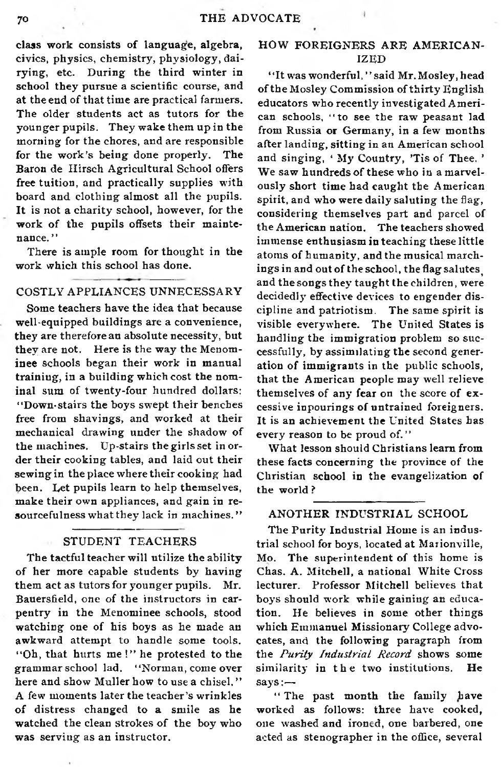class work consists of language, algebra, civics, physics, chemistry, physiology, dairying, etc. During the third winter in school they pursue a scientific course, and at the end of that time are practical farmers. The older students act as tutors for the younger pupils. They wake them up in the morning for the chores, and are responsible for the work's being done properly. The Baron de Hirsch Agricultural School offers free tuition, and practically supplies with board and clothing almost all the pupils. It is not a charity school, however, for the work of the pupils offsets their maintenance."

There is ample room for thought in the work which this school has done.

#### COSTLY APPLIANCES UNNECESSARY

Some teachers have the idea that because well-equipped buildings are a convenience, they are therefore an absolute necessity, but they are not. Here is the way the Menominee schools began their work in manual training, in a building which cost the nominal sum of twenty-four hundred dollars: "Down-stairs the boys swept their benches free from shavings, and worked at their mechanical drawing under the shadow of the machines. Up-stairs the girls set in order their cooking tables, and laid out their sewing in the place where their cooking had been. Let pupils learn to help themselves, make their own appliances, and gain in resourcefulness what they lack in machines."

#### STUDENT TEACHERS

The tactful teacher will utilize the ability of her more capable students by having them act as tutors for younger pupils. Mr. Bauersfield, one of the instructors in carpentry in the Menominee schools, stood watching one of his boys as he made an awkward attempt to handle some tools. "Oh, that hurts me !" he protested to the grammar school lad. ' 'Norman, come over here and show Muller how to use a chisel. " A few moments later the teacher's wrinkles of distress changed to a smile as he watched the clean strokes of the boy who was serving as an instructor.

#### HOW FOREIGNERS ARE AMERICAN-IZED

' 'It was wonderful, ' ' said Mr. Mosley, head of the Mosley Commission of thirty English educators who recently investigated American schools, " to see the raw peasant lad from Russia or Germany, in a few months after landing, sitting in an American school and singing, ' My Country, 'Tis of Thee. ' We saw hundreds of these who in a marvelously short time had caught the American spirit, and who were daily saluting the flag, considering themselves part and parcel of the American nation. The teachers showed immense enthusiasm in teaching these little atoms of humanity, and the musical marchings in and out of the school, the flag salutes and the songs they taught the children, were decidedly effective devices to engender discipline and patriotism. The same spirit is visible everywhere. The United States is handling the immigration problem so successfully, by assimilating the second generation of immigrants in the public schools, that the American people may well relieve themselves of any fear on the score of excessive inpourings of untrained foreigners. It is an achievement the United States has every reason to be proud of."

What lesson should Christians learn from these facts concerning the province of the Christian school in the evangelization of the world ?

#### ANOTHER INDUSTRIAL SCHOOL

The Purity Industrial Home is an industrial school for boys, located at Marionville, Mo. The superintendent of this home is Chas. A. Mitchell, a national White Cross lecturer. Professor Mitchell believes that boys should work while gaining an education. He believes in some other things which Emmanuel Missionary College advocates, and the following paragraph from the *Purity Industrial Record* shows some similarity in the two institutions. He  $says:$ 

'' The past month the family have worked as follows: three have cooked, one washed and ironed, one barbered, one acted as stenographer in the office, several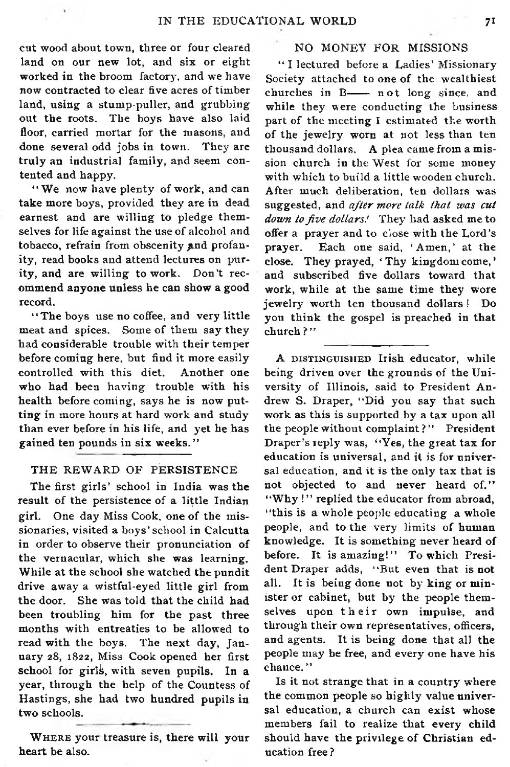cut wood about town, three or four cleared land on our new lot, and six or eight worked in the broom factory, and we have now contracted to clear five acres of timber land, using a stump-puller, and grubbing out the roots. The boys have also laid floor, carried mortar for the masons, and done several odd jobs in town. They are truly an industrial family, and seem contented and happy.

" We now have plenty of work, and can take more boys, provided they are in dead earnest and are willing to pledge themselves for life against the use of alcohol and tobacco, refrain from obscenity and profanity, read books and attend lectures on purity, and are willing to work. Don't recommend anyone unless he can show a good record.

"The boys use no coffee, and very little meat and spices. Some of them say they had considerable trouble with their temper before coming here, but find it more easily controlled with this diet. Another one who had been having trouble with his health before coming, says he is now putting in more hours at hard work and study than ever before in his life, and yet he has gained ten pounds in six weeks."

#### THE REWARD OF PERSISTENCE

The first girls' school in India was the result of the persistence of a little Indian girl. One day Miss Cook, one of the missionaries, visited a boys' school in Calcutta in order to observe their pronunciation of the vernacular, which she was learning. While at the school she watched the pundit drive away a wistful-eyed little girl from the door. She was told that the child had been troubling him for the past three months with entreaties to be allowed to read with the boys. The next day, January 28, 1822, Miss Cook opened her first school for girls, with seven pupils. In a year, through the help of the Countess of Hastings, she had two hundred pupils in two schools.

WHERE your treasure is, there will your heart be also.

#### NO MONEY FOR MISSIONS

" I lectured before a Ladies' Missionary Society attached to one of the wealthiest churches in  $B \longrightarrow$  n ot long since, and while they were conducting the business part of the meeting I estimated the worth of the jewelry worn at not less than ten thousand dollars. A plea came from a mission church in the West for some money with which to build a little wooden church. After much deliberation, ten dollars was suggested, and *after more talk that was cut down to five dollars!* They had asked me to offer a prayer and to close with the Lord's prayer. Each one said, 'Amen,' at the close. They prayed, ' Thy kingdom come, ' and subscribed five dollars toward that work, while at the same time they wore jewelry worth ten thousand dollars ! Do you think the gospel is preached in that church ?"

A DISTINGUISHED Irish educator, while being driven over the grounds of the University of Illinois, said to President Andrew S. Draper, "Did you say that such work as this is supported by a tax upon all the people without complaint?" President Draper's reply was, "Yes, the great tax for education is universal, and it is for universal education, and it is the only tax that is not objected to and never heard of." "Why!" replied the educator from abroad, "this is a whole people educating a whole people, and to the very limits of human knowledge. It is something never heard of before. It is amazing!" To which President Draper adds, "But even that is not all. It is being done not by king or minister or cabinet, but by the people themselves upon their own impulse, and through their own representatives, officers, and agents. It is being done that all the people may be free, and every one have his chance."

Is it not strange that in a country where the common people so highly value universal education, a church can exist whose members fail to realize that every child should have the privilege of Christian education free?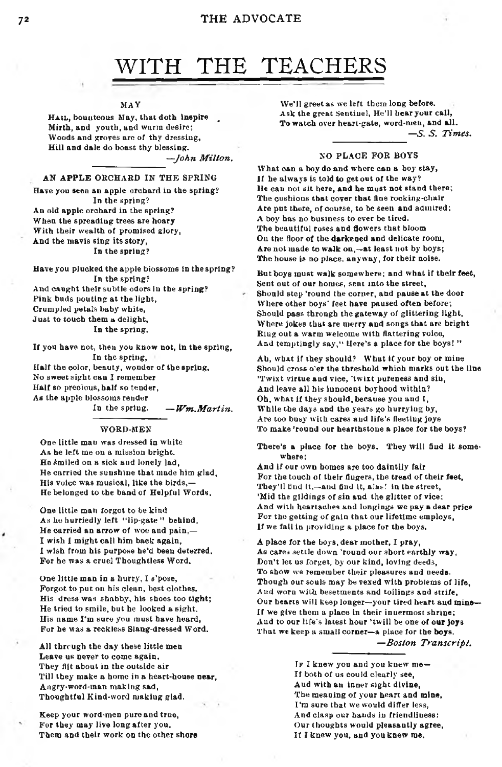# WITH THE TEACHERS

#### MAY

HAIL, bounteous May, that doth inspire Mirth, and youth, and warm desire; Woods and groves are of thy dressing, Hill and dale do boast thy blessing. *—John M ilton.*

#### AN APPLE ORCHARD IN THE SPRING

Have you seen an apple orchard in the spring? In the spring? An old apple orchard in the spring? When the spreading trees are hoary With their wealth of promised glory, And the mavis sing its story, In the spring?

Have you plucked the apple biossoms in the spring? In the spring? And caught their subtle odors in the spring? Pink buds pouting at the light, Crumpled petals baby white, Just to touch them a delight, In the spring.

If you have not, then you know not, in the spring, In the spring, Half the color, beauty, wonder of the spring. No sweet sight can I remember Half so precious, half so tender, As the apple blossoms render<br>In the spring. In th e sp riu g . *— W m .M artin.*

#### WORD-MEN

One little man was dressed in white As he left me on a mission bright. He smiled on a sick and lonely lad, He carried the sunshine that made him glad, His voice was musical, like the birds,-He belonged to the band of Helpful Words.

One little man forgot to be kind As he hurriedly left "lip-gate" behind. He carried an arrow of woe and pain. $-$ I wish I might call him back again. I wish from his purpose he'd been deterred. For he was a cruel Thoughtless Word.

One little man in a hurry, I s'pose, Forgot to put on his clean, best clothes. His dress was shabby, his shoes too tight: He tried to smile, but he looked a sight. His name I'm sure you must have heard, For he was a reckless Slang-dressed Word.

All through the day these little men Leave us never to come again. They flit about in the outside air Till they make a home in a heart-house near, Angry-word-man making sad, Thoughtful Kind-word making glad.

Keep your word-men pure and true, For they may live long after you. Them and their work on the other shore We'll greet as we left them long before. Ask the great Sentinel, He'll hear your call, To watch over heart-gate, word-men, and all.  $-S. S.$  *Times.* 

#### NO PLACE FOR BOYS

What can a boy do and where can a boy stay, If he always is told to get out of the way? He can not sit here, and he must not stand there: The cushions that cover that fine rocking-chair Are put there, of course, to be seen and admired; A boy has no business to ever be tired. The beautiful roses and flowers that bloom On the floor of the darkened and delicate room, Are not made to walk on ,—at least not by boys; The house is no place, anyway, for their noise.

But boys must walk somewhere; and what if their feet, Sent out of our homes, sent into the street, Should step 'round the corner, and pause at the door Where other boys' feet have paused often before; Should pass through the gateway of glittering light. Where jokes that are merry and songs that are bright Ring out a warm welcome with flattering voice, And temptingly say," Here's a place for the boys!"

Ab, what if they should? What if your boy or mine Should cross o'er the threshold which marks out the line 'Twixt virtue and vice, 'twixt pureness and sin, And leave all his iunocent boyhood within? Oh, what if they should, because you and I, While the days and the years go hurrying by, A re too busy w ith cares and life 's fleeting joys To make 'round our hearthstone a place for the boys?

There's a place for the boys. They will find it somew here;

And if our own homes are too daintily fair For the touch of their fingers, the tread of their feet. They'll find it.—and find it, alas! in the street, 'Mid the gildings of sin and the glitter of vice; And with heartaches and longings we pay a dear price For the getting of gain that our lifetime employs, If we fail in providing a place for the boys.

 $\Lambda$  place for the boys, dear mother, I pray, As cares settle down 'round our short earthly way, Don't let us forget, by our kind, loving deeds, To show we remember their pleasures and needs. Though our souls may be vexed with problems of life, And worn with besetments and toilings and strife, Our hearts will keep longer-your tired heart and mine-If we give them a place in their innermost shrine: And to our life's latest hour 'twill be one of our joys That we keep a small corner—a place for the boys. *— Boston Transcript.*

> Ip I knew you and you knew **me—** If both of us could clearly see, Aud with an inner sight divine. The meaning of your heart and mine, I'm sure that we would differ less, And clasp our hands in friendliness: Our thoughts would pleasantly agree, If I knew you, aud you knew **me.**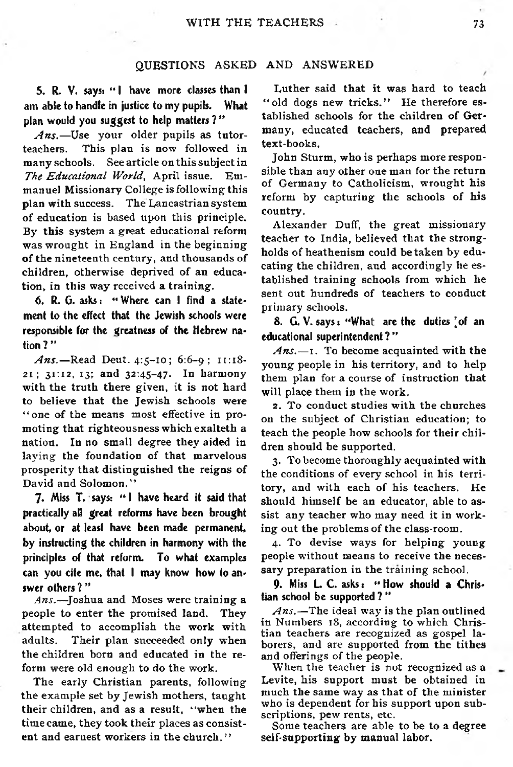#### QUESTIONS ASKED AND ANSWERED

5. R. V. says: " I have more classes than I am able to handle in justice to my pupils. What plan would you suggest to help matters ? "

 $Ans.$ —Use your older pupils as tutorteachers. This plan is now followed in many schools. See article on this subject in *The Educational World*, April issue. Em manuel Missionary College is following-this plan with success. The Lancastrian system of education is based upon this principle. By this system a great educational reform was wrought in England in the beginning of the nineteenth century, and thousands of children, otherwise deprived of an education, in this way received a training.

6. R. G. asks: " Where can I find a statement to the effect that the Jewish schools were responsible for the greatness of the Hebrew na $t$ ion ?"

*Ans.*—Read Deut. 4:5-10; 6:6-9; 11:18-21 ; 31:12, 13; and 32:45-47. In harmony with the truth there given, it is not hard to believe that the Jewish schools were " one of the means most effective in promoting that righteousness which exalteth a nation. In no small degree they aided in laying the foundation of that marvelous prosperity that distinguished the reigns of David and Solomon."

7. Miss T. says: " I have heard it said that practically all great reforms have been brought about, or at least have been made permanent, by instructing the children in harmony with the principles of that reform. To what examples can you cite me, that I may know how to answer others ? "

*Ans*.—Joshua and Moses were training a people to enter the promised land. They attempted to accomplish the work with adults. Their plan succeeded only when the children born and educated in the reform were old enough to do the work.

The early Christian parents, following the example set by Jewish mothers, taught their children, and as a result, " when the time came, they took their places as consistent and earnest workers in the church."

Luther said that it was hard to teach " old dogs new tricks." He therefore established schools for the children of Germany, educated teachers, and prepared text-books.

John Sturm, who is perhaps more responsible than any other one man for the return of Germany to Catholicism, wrought his reform by capturing the schools of his country.

Alexander Duff, the great missionary teacher to India, believed that the strongholds of heathenism could be taken by educating the children, and accordingly he established training schools from which he sent out hundreds of teachers to conduct primary schools.

8. G. V. says: "What are the duties  $\delta$  of an educational superintendent?"

*A ns.*— r. To become acquainted with the young people in his territory, and to help them plan for a course of instruction that will place them in the work.

2. To conduct studies with the churches on the subject of Christian education; to teach the people how schools for their children should be supported.

3. To become thoroughly acquainted with the conditions of every school in his territory, and with each of his teachers. He should himself be an educator, able to assist any teacher who may need it in working out the problems of the class-room.

4. To devise ways for helping young people without means to receive the necessary preparation in the training school.

 $9.$  Miss L. C. asks: "How should a Christian school be supported ? "

Ans.—The ideal way is the plan outlined in Numbers 18, according to which Christian teachers are recognized as gospel laborers, and are supported from the tithes and offerings of the people.

When the teacher is not recognized as a Levite, his support must be obtained in much the same way as that of the minister who is dependent for his support upon subscriptions, pew rents, etc.

Some teachers are able to be to a degree self-supporting by manual labor.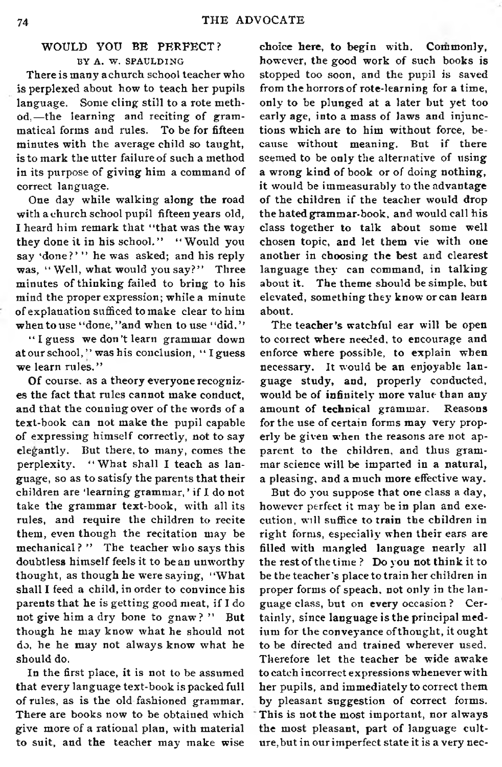#### WOULD YOU BE PERFECT? BY A. W. SPAULDING

There is many a church school teacher who is perplexed about how to teach her pupils language. Some cling still to a rote method,— the learning and reciting of grammatical forms and rules. To be for fifteen minutes with the average child so taught, is to mark the utter failure of such a method in its purpose of giving him a command of correct language.

One day while walking along the road with a church school pupil fifteen years old, I heard him remark that "that was the way they done it in his school." " Would you say 'done?' " he was asked; and his reply was, "Well, what would you say?" Three minutes of thinking failed to bring to his mind the proper expression; while a minute of explanation sufficed to make clear to him when to use "done, "and when to use "did."

" I guess we don't learn grammar down at our school, " was his conclusion, " I guess we learn rules."

Of course, as a theory everyone recognizes the fact that rules cannot make conduct, and that the conning over of the words of a text-book can not make the pupil capable of expressing himself correctly, not to say elegantly. But there, to many, comes the perplexity. "What shall I teach as language, so as to satisfy the parents that their children are 'learning grammar, ' if I do not take the grammar text-book, with all its rules, and require the children to recite them, even though the recitation may be mechanical?" The teacher who says this doubtless him self feels it to bean unworthy thought, as though he were saying, "What shall I feed a child, in order to convince his parents that he is getting good meat, if I do not give him a dry bone to gnaw? " But though he may know what he should not do, he he may not always know what he should do.

In the first place, it is not to be assumed that every language text-book is packed full of rules, as is the old fashioned grammar. There are books now to be obtained which give more of a rational plan, with material to suit, and the teacher may make wise choice here, to begin with. Commonly, however, the good work of such books is stopped too soon, and the pupil is saved from the horrors of rote-learning for a time, only to be plunged at a later but yet too early age, into a mass of laws and injunctions which are to him without force, because without meaning. But if there seemed to be only the alternative of using a wrong kind of book or of doing nothing, it would be immeasurably to the advantage of the children if the teacher would drop the hated grammar-book, and would call his class together to talk about some well chosen topic, and let them vie with one another in choosing the best and clearest language they can command, in talking about it. The theme should be simple, but elevated, something they know or can learn about.

The teacher's watchful ear will be open to correct where needed, to encourage and enforce where possible, to explain when necessary. It would be an enjoyable language study, and, properly conducted, would be of infinitely more value than any amount of technical grammar. Reasons for the use of certain forms may very properly be given when the reasons are not apparent to the children, and thus grammar science will be imparted in a natural, a pleasing, and a much more effective way.

But do you suppose that one class a day, however perfect it may be in plan and execution, will suffice to train the children in right forms, especially when their ears are filled with mangled language nearly all the rest of the time ? Do you not think it to be the teacher's place to train her children in proper forms of speach, not only in the language class, but on every occasion ? Certainly, since language is the principal medium for the conveyance of thought, it ought to be directed and trained wherever used. Therefore let the teacher be wide awake to catch incorrect expressions whenever with her pupils, and immediately to correct them by pleasant suggestion of correct forms. This is not the most important, nor always the most pleasant, part of language culture, but in our imperfect state it is a very nec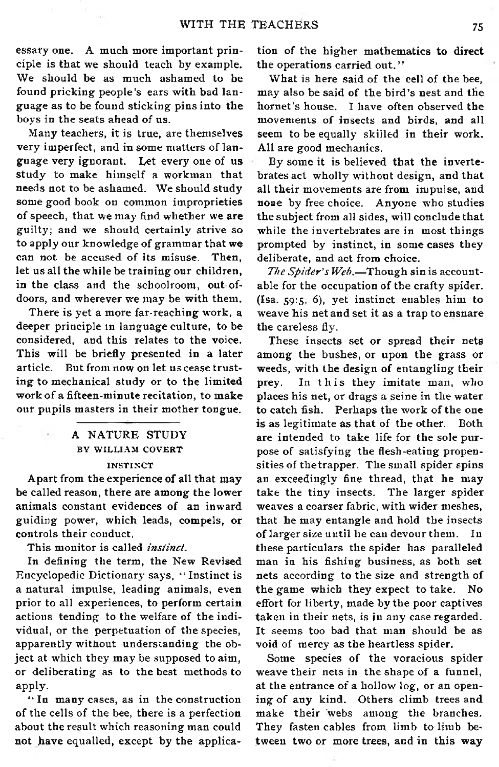essary one. A much more important principle is that we should teach by example. We should be as much ashamed to be found pricking people's ears with bad language as to be found sticking pins into the boys in the seats ahead of us.

Many teachers, it is true, are themselves very imperfect, and in some matters of language very ignorant. Let every one of us study to make himself a workman that needs not to be ashamed. We should study some good book on common improprieties of speech, that we may find whether we are guilty; and we should certainly strive so to apply our knowledge of grammar that we can not be accused of its misuse. Then, let us all the while be training our children, in the class and the schoolroom, out ofdoors, and wherever we may be with them.

There is yet a more far-reaching work, a deeper principle in language culture, to be considered, and this relates to the voice. This will be briefly presented in a later article. But from now on let us cease trusting to mechanical study or to the limited work of a fifteen-minute recitation, to make our pupils masters in their mother tongue.

#### A NATURE STUDY BY WILLIAM COVERT **INSTINCT**

Apart from the experience of all that may be called reason, there are among the lower animals constant evidences of an inward guiding power, which leads, compels, or controls their conduct.

This monitor is called *insiinct.*

In defining the term, the New Revised Encyclopedic Dictionary says, " Instinct is a natural impulse, leading animals, even prior to all experiences, to perform certain actions tending to the welfare of the individual, or the perpetuation of the species, apparently without understanding the object at which they may be supposed to aim, or deliberating as to the best methods to apply.

" In many cases, as in the construction of the cells of the bee, there is a perfection about the result which reasoning man could not have equalled, except by the application of the higher mathematics to direct the operations carried out."

What is here said of the cell of the bee, may also be said of the bird's nest and the hornet's house. I have often observed the movements of insects and birds, and all seem to be equally skilled in their work. All are good mechanics.

By some it is believed that the invertebrates act wholly without design, and that all their movements are from impulse, and none by free choice. Anyone who studies the subject from all sides, will conclude that while the invertebrates are in most things prompted by instinct, in some cases they deliberate, and act from choice.

*The Spider's Web*.— Though sin is accountable for the occupation of the crafty spider. (Isa. 59:5, 6), yet instinct enables him to weave his net and set it as a trap to ensnare the careless fly.

These insects set or spread their nets among the bushes, or upon the grass or weeds, with the design of entangling their prey. In this they imitate man, who places his net, or drags a seine in the water to catch fish. Perhaps the work of the one is as legitimate as that of the other. Both are intended to take life for the sole purpose of satisfying the flesh-eating propensities of the trapper. The small spider spins an exceedingly fine thread, that he may take the tiny insects. The larger spider weaves a coarser fabric, with wider meshes, that he may entangle and hold the insects of larger size until he can devour them. these particulars the spider has paralleled man in his fishing business, as both set nets according to the size and strength of the game which they expect to take. No effort for liberty, made by the poor captives taken in their nets, is in any case regarded. It seems too bad that man should be as void of mercy as the heartless spider.

Some species of the voracious spider weave their nets in the shape of a funnel, at the entrance of a hollow log, or an opening of any kind. Others climb trees and make their webs among the branches. They fasten cables from limb to limb between two or more trees, and in this way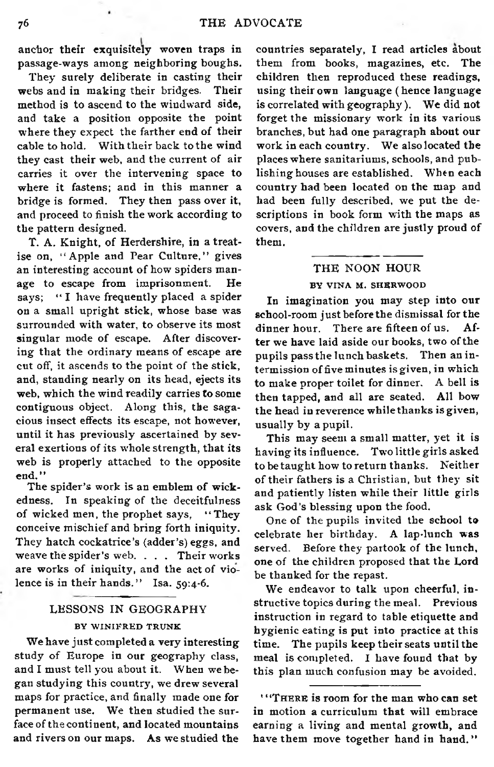anchor their exquisitely woven traps in passage-ways among neighboring boughs.

They surely deliberate in casting their webs and in making their bridges. Their method is to ascend to the windward side, and take a position opposite the point where they expect the farther end of their cable to hold. With their back to the wind they cast their web, and the current of air carries it over the intervening space to where it fastens; and in this manner a bridge is formed. They then pass over it, and proceed to finish the work according to the pattern designed.

T. A. Knight, of Herdershire, in a treatise on, "Apple and Pear Culture," gives an interesting account of how spiders manage to escape from imprisonment. He says; "I have frequently placed a spider on a small upright stick, whose base was surrounded with water, to observe its most singular mode of escape. After discovering that the ordinary means of escape are cut off, it ascends to the point of the stick, and, standing nearly on its head, ejects its web, which the wind readily carries to some contiguous object. Along this, the sagacious insect effects its escape, not however, until it has previously ascertained by several exertions of its whole strength, that its web is properly attached to the opposite end."

The spider's work is an emblem of wickedness. In speaking of the deceitfulness of wicked men, the prophet says, " They conceive mischief and bring forth iniquity. They hatch cockatrice's (adder's) eggs, and weave the spider's web. . . . Their works are works of iniquity, and the act of violence is in their hands." Isa. 59:4-6.

#### LESSONS IN GEOGRAPHY BY WINIFRED TRUNK

We have just completed a very interesting study of Europe in our geography class, and I must tell you about it. When we began studying this country, we drew several maps for practice, and finally made one for permanent use. We then studied the surface of the continent, and located mountains and rivers on our maps. As we studied the countries separately, I read articles about them from books, magazines, etc. The children then reproduced these readings, using their own language (hence language is correlated with geography ). We did not forget the missionary work in its various branches, but had one paragraph about our work in each country. We also located the places where sanitariums, schools, and publishing houses are established. When each country had been located on the map and had been fully described, we put the descriptions in book form with the maps as covers, and the children are justly proud of them.

#### THE NOON HOUR

#### BY VINA M. SHERWOOD

In imagination you may step into our school-room just before the dismissal for the dinner hour. There are fifteen of us. After we have laid aside our books, two of the pupils pass the lunch baskets. Then an intermission of five minutes is given, in which to make proper toilet for dinner. A bell is then tapped, and all are seated. All bow the head in reverence while thanks is given, usually by a pupil.

This may seem a small matter, yet it is having its influence. Two little girls asked to be taught how to return thanks. Neither of their fathers is a Christian, but they sit and patiently listen while their little girls ask God's blessing upon the food.

One of the pupils invited the school to celebrate her birthday. A lap-lunch was served. Before they partook of the lunch, one of the children proposed that the Lord be thanked for the repast.

We endeavor to talk upon cheerful, instructive topics during the meal. Previous instruction in regard to table etiquette and hygienic eating is put into practice at this time. The pupils keep their seats until the meal is completed. I have found that by this plan much confusion may be avoided.

' 4 'T here is room for the man who can set in motion a curriculum that will embrace earning a living and mental growth, and have them move together hand in hand."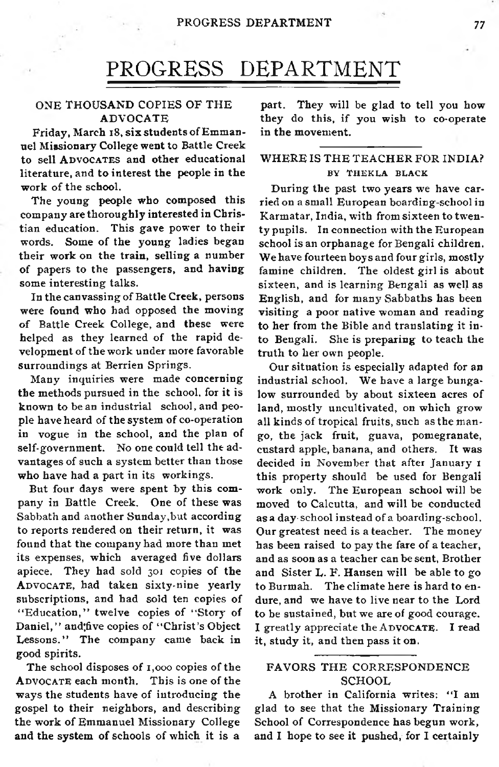# PROGRESS DEPARTMENT

#### ONE THOUSAND COPIES OF THE **ADVOCATE**

Friday, March 18, six students of Emmanuel Missionary College went to Battle Creek to sell ADVOCATES and other educational literature, and to interest the people in the work of the school.

The young people who composed this company are thoroughly interested in Christian education. This gave power to their words. Some of the young ladies began their work on the train, selling a number of papers to the passengers, and having some interesting talks.

In the canvassing of Battle Creek, persons were found who had opposed the moving of Battle Creek College, and these were helped as they learned of the rapid development of the work under more favorable surroundings at Berrien Springs.

Many inquiries were made concerning the methods pursued in the school, for it is known to bean industrial school, and people have heard of the system of co-operation in vogue in the school, and the plan of self-government. No one could tell the advantages of such a system better than those who have had a part in its workings.

But four days were spent by this company in Battle Creek. One of these was Sabbath and another Sunday,but according to reports rendered on their return, it was found that the company had more than met its expenses, which averaged five dollars apiece. They had sold 301 copies of the ADVOCATE, had taken sixty-nine yearly subscriptions, and had sold ten copies of "Education," twelve copies of "Story of Daniel," and;five copies of "Christ's Object Lessons." The company came back in good spirits.

The school disposes of 1,000 copies of the ADVOCATE each month. This is one of the ways the students have of introducing the gospel to their neighbors, and describing the work of Emmanuel Missionary College and the system of schools of which it is a

part. They will be glad to tell you how they do this, if you wish to co-operate in the movement.

#### WHERE IS THE TEACHER FOR INDIA? BY THEKLA BLACK

During the past two years we have carried on a small European boarding-school in Karmatar, India, with from sixteen to twenty pupils. In connection with the European school is an orphanage for Bengali children. We have fourteen boys and four girls, mostly famine children. The oldest girl is about sixteen, and is learning Bengali as well as English, and for many Sabbaths has been visiting a poor native woman and reading to her from the Bible and translating it into Bengali. She is preparing to teach the truth to her own people.

Our situation is especially adapted for an industrial school. We have a large bungalow surrounded by about sixteen acres of land, mostly uncultivated, on which grow all kinds of tropical fruits, such as the mango, the jack fruit, guava, pomegranate, custard apple, banana, and others. It was decided in November that after January 1 this property should be used for Bengali work only. The European school will be moved to Calcutta, and will be conducted as a day-school instead of a boarding-school. Our greatest need is a teacher. The money has been raised to pay the fare of a teacher, and as soon as a teacher can be sent, Brother and Sister L. F. Hansen will be able to go to Burmah. The climate here is hard to endure, and we have to live near to the Lord to be sustained, but we are of good courage. I greatly appreciate the ADVOCATE. I read it, study it, and then pass it on.

#### FAVORS THE CORRESPONDENCE SCHOOL

A brother in California writes: "I am glad to see that the Missionary Training School of Correspondence has begun work, and I hope to see it pushed, for I certainly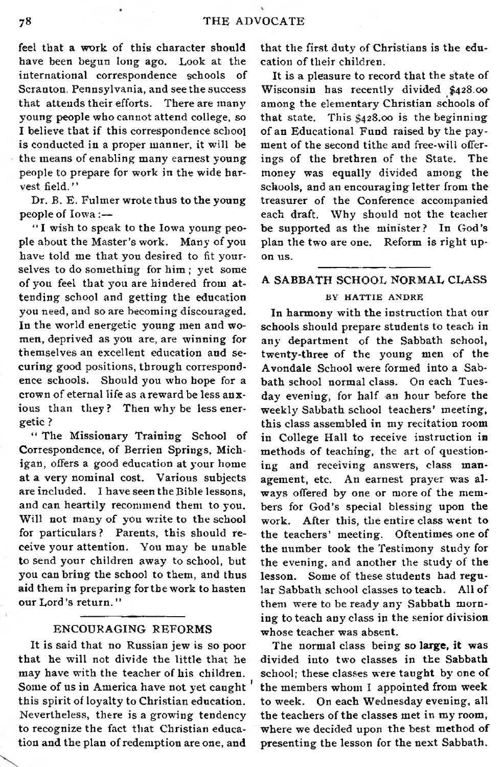feel that a work of this character should have been begun long ago. Look at the international correspondence schools of Scranton, Pennsylvania, and see the success that attends their efforts. There are many young people who cannot attend college, so I believe that if this correspondence school is conducted in a proper manner, it will be the means of enabling many earnest young people to prepare for work in the wide harvest field."

Dr. B. E. Fulmer wrote thus to the young people of Iowa:-

" I wish to speak to the Iowa young people about the Master's work. Many of you have told me that you desired to fit yourselves to do something for him ; yet some of you feel that you are hindered from attending school and getting the education you need, and so are becoming discouraged. In the world energetic young men and women, deprived as you are, are winning for themselves an excellent education and securing good positions, through correspondence schools. Should you who hope for a crown of eternal life as a reward be less anxious than they? Then why be less energetic ?

" The Missionary Training School of Correspondence, of Berrien Springs, Michigan, offers a good education at your home at a very nominal cost. Various subjects are included. I have seen the Bible lessons, and can heartily recommend them to you. Will not many of you write to the school for particulars? Parents, this should receive your attention. You may be unable to send your children away to school, but you can bring the school to them, and thus aid them in preparing for the work to hasten our Lord's return. "

#### ENCOURAGING REFORMS

It is said that no Russian jew is so poor that he will not divide the little that he may have with the teacher of his children. Some of us in America have not yet caught 1 this spirit of loyalty to Christian education. Nevertheless, there is a growing tendency to recognize the fact that Christian education and the plan of redemption are one, and

that the first duty of Christians is the education of their children.

It is a pleasure to record that the state of Wisconsin has recently divided \$428.00 among the elementary Christian schools of that state. This \$428.00 is the beginning of an Educational Fund raised by the payment of the second tithe and free-will offerings of the brethren of the State. The money was equally divided among the schools, and an encouraging letter from the treasurer of the Conference accompanied each draft. Why should not the teacher be supported as the minister? In God's plan the two are one. Reform is right upon us.

#### A SABBATH SCHOOL NORMAL CLASS BY HATTIE ANDRE

In harmony with the instruction that our schools should prepare students to teach in any department of the Sabbath school, twenty-three of the young men of the Avondale School were formed into a Sabbath school normal class. On each Tuesday evening, for half an hour before the w eekly Sabbath school teachers' meeting, this class assembled in my recitation room in College Hall to receive instruction in methods of teaching, the art of questioning and receiving answers, class management, etc. An earnest prayer was always offered by one or more of the members for God's special blessing upon the work. After this, the entire class went to the teachers' meeting. Oftentimes one of the number took the Testimony study for the evening, and another the study of the lesson. Some of these students had regular Sabbath school classes to teach. All of them were to be ready any Sabbath morning to teach any class in the senior division whose teacher was absent.

The normal class being so large, it was divided into two classes in the Sabbath school; these classes were taught by one of the members whom I appointed from week to week. On each Wednesday evening, all the teachers of the classes met in my room, where we decided upon the best method of presenting the lesson for the next Sabbath.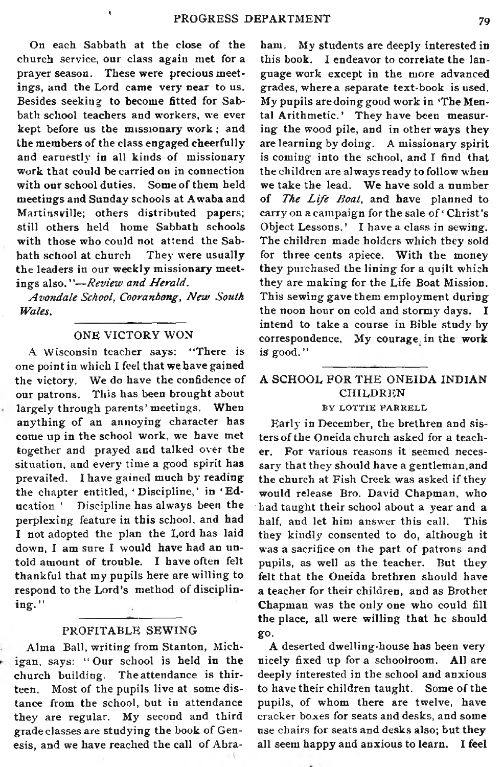On each Sabbath at the close of the church service, our class again met for a prayer season. These were precious meetings, and the Lord came very near to us. Besides seeking to become fitted for Sabbath school teachers and workers, we ever kept before us the missionary work ; and the members of the class engaged cheerfully and earnestly in all kinds of missionary work that could be carried on in connection with our school duties. Some of them held meetings and Sunday schools at Awaba and Martinsyille; others distributed papers; still others held home Sabbath schools with those who could not attend the Sabbath school at church They were usually the leaders in our weekly missionary meetings also. ' *'-—Review and Herald.*

1

*Avondale School, Cooranbong, New South Wales.*

#### ONE VICTORY WON

A Wisconsin teacher says: " There is one point in which I feel that we have gained the victory. We do have the confidence of our patrons. This has been brought about largely through parents' meetings. When anything of an annoying character has come up in the school work, we have met together and prayed and talked over the situation, and every time a good spirit has prevailed. I have gained much by reading the chapter entitled, 'Discipline,' in 'Education.' Discipline has always been the perplexing feature in this school, and had I not adopted the plan the Lord has laid down, I am sure I would have had an untold amount of trouble. I have often felt thankful that my pupils here are willing to respond to the Lord's method of disciplining."

#### PROFITABLE SEWING

Alma Ball, writing from Stanton, Michigan, says: " Our school is held in the church building. The attendance is thirteen. Most of the pupils live at some distance from the school, but in attendance they are regular. My second and third grade classes are studying the book of Genesis, and we have reached the call of Abra-

ham. My students are deeply interested in this book. I endeavor to correlate the language work except in the more advanced grades, where a separate text-book is used. My pupils are doing good work in 'The Mental Arithmetic.' They have been measuring the wood pile, and in other ways they are learning by doing. A missionary spirit is coming into the school, and I find that the children are always ready to follow» when we take the lead. We have sold a number of *The Life Boat*, and have planned to carry on a campaign for the sale of ' Christ's Object Lessons.' I have a class in sewing. The children made holders which they sold for three cents apiece. With the money they purchased the lining for a quilt which they are making for the Life Boat Mission. This sewing gave them employment during the noon hour on cold and stormy days. intend to take a course in Bible study by correspondence. My courage. in the work is' good."

#### A SCHOOL FOR THE ONEIDA INDIAN **CHILDREN** BY LOTTIE FARRELL

Early in December, the brethren and sisters of the Oneida church asked for a teacher. For various reasons it seemed necessary that they should have a gentleman,and the church at Fish Creek was asked if they would release Bro. David Chapman, who had taught their school about a year and a half, and let him answer this call. This they kindly consented to do, although it was a sacrifice on the part of patrons and pupils, as well as the teacher. But they felt that the Oneida brethren should have a teacher for their children, and as Brother Chapman was the only one who could fill the place, all were willing that he should go.

A deserted dwelling-house has been very nicely fixed up for a schoolroom. All are deeply interested in the school and anxious to have their children taught. Some of the pupils, of whom there are twelve, have cracker boxes for seats and desks, and some use chairs for seats and desks also; but they all seem happy and anxious to learn. I feel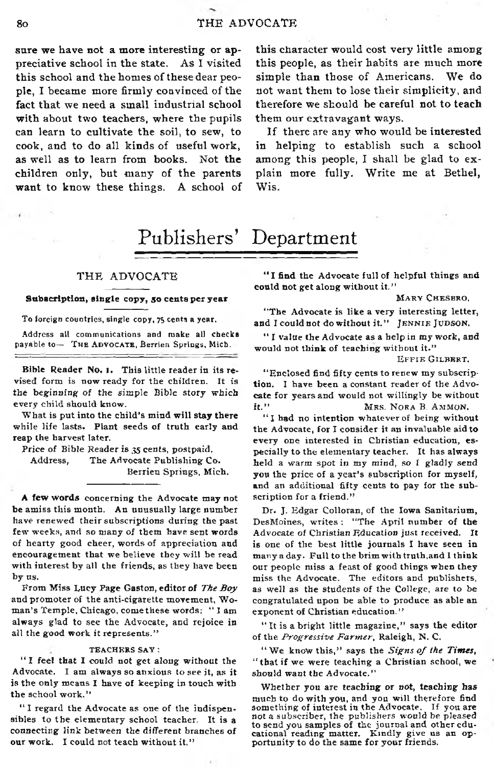sure we have not a more interesting or appreciative school in the state. As I visited this school and the homes of these dear people, I became more firmly convinced of the fact that we need a small industrial school with about two teachers, where the pupils can learn to cultivate the soil, to sew, to cook, and to do all kinds of useful work, as well as to learn from books. Not the children only, but many of the parents want to know these things. A school of this character would cost very little among this people, as their habits are much more simple than those of Americans. We do not want them to lose their simplicity, and therefore we should be careful not to teach them our extravagant ways.

If there are any who would be interested in helping to establish such a school among this people, I shall be glad to ex plain more fully. Write me at Bethel, Wis.

# Publishers' Department

#### THE ADVOCATE

#### Subscription, single copy, 50 cents per year

To foreign countries, single copy, 75 cents a year.

Address all communications and make all checks payable to- THE ADVOCATE, Berrien Springs, Mich.

Bible Reader No. 1. This little reader in its revised form is now ready for the children. It is the beginning of the simple Bible story which every child should know.

What is put into the child's mind will stay there while life lasts. Plant seeds of truth early and reap the harvest later.

Price of Bible Reader is 35 cents, postpaid. Address, The Advocate Publishing Co. Berrien Springs, Mich.

A few words concerning the Advocate may not be amiss this month. An unusually large number have renewed their subscriptions during the past few weeks, and so many of them have sent words of hearty good cheer, words of appreciation and encouragement that we believe they will be read with interest by all the friends, as they have been **b y us.**

From Miss Lucy Page Gaston, editor of *The Boy* and promoter of the anti-cigarette movement, Woman's Temple, Chicago, come these words: "I am always glad to see the Advocate, and rejoice in all the good work it represents."

#### **TEACHERS SAY :**

"I feel that I could not get along without the Advocate. I am always so anxious to see it, as it is the only means I have of keeping in touch with the school work."

<sup>11</sup> I regard the Advocate as one of the indispensibles to the elementary school teacher. It is a connecting link between the different branches of our work. I could not teach without it."

"I find the Advocate full of helpful things and **could not get along without it."**

**MARY CHESBRO.** 

"The Advocate is like a very interesting letter, and I could not do without it." JENNIE JUDSON.

" I value the Advocate as a help in my work, and would not think of teaching without it."

 $E$ **FFIE GILBERT.** 

"Enclosed find fifty cents to renew my subscription. I have been a constant reader of the Advo**cate for years and would not willingly be without it.**" **MRS.** NORA B. AMMON,

"I had no intention whatever of being without the Advocate, for I consider it an invaluable aid to every one interested in Christian education, especially to the elementary teacher. It has always held a warm spot in my mind, so I gladly send you the price of a year's subscription for myself, and an additional fifty cents to pay for the subscription for a friend."

Dr. J. Edgar Colloran, of the Iowa Sanitarium, DesMoines, writes: "The April number of the Advocate of Christian Education just received. It is one of the best little journals I have seen in many a day. Full to the brim with truth, and I think our people miss a feast of good things when they miss the Advocate. The editors and publishers, as well as the students of the College, are to be congratulated upon be able to produce as able an exponent of Christian education."

"It is a bright little magazine," says the editor of the Progressive Farmer, Raleigh, N. C.

"We know this," says the *Signs of the Times*, " that if we were teaching a Christian school, we should want the Advocate."

Whether you are teaching or not, teaching has much to do with you, and you will therefore find something of interest in the Advocate. If you are not a subscriber, the publishers would be pleased<br>to send you samples of the journal and other edu-<br>cational reading matter. Kindly give us an opportunity to do the same for your friends.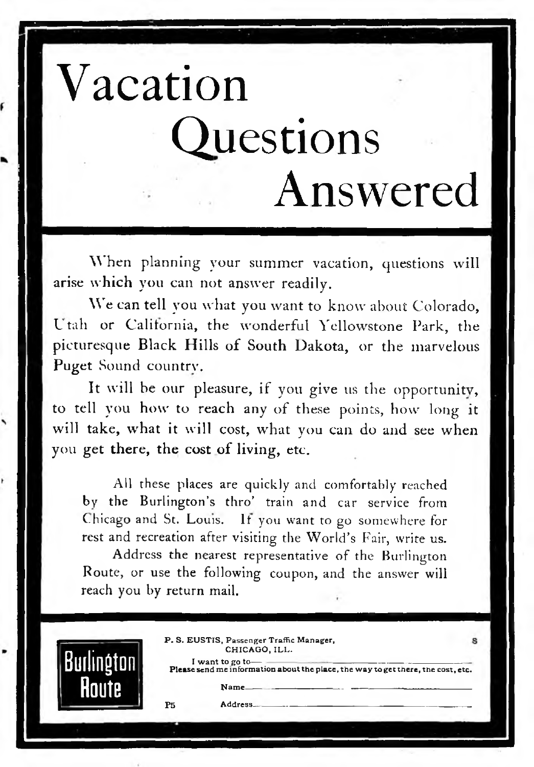# Vacation Questions Answered

When planning your summer vacation, questions will arise which you can not answer readily.

We can tell you what you want to know about Colorado, L tali or California, the wonderful Yellowstone Park, the picturesque Black Hills of South Dakota, or the marvelous Puget Sound country.

It will he our pleasure, if you give us the opportunity, to tell you how to reach any of these points, how long it will take, what it will cost, what you can do and see when you get there, the cost of living, etc.

All these places are quickly and comfortably reached by the Burlington's thro' train and car service from Chicago and St. Louis. If you want to go somewhere for rest and recreation after visiting the World's Fair, write us.

Address the nearest representative of the Burlington Route, or use the following coupon, and the answer will reach you by return mail.

|  |    | P. S. EUSTIS, Passenger Traffic Manager,<br>CHICAGO, ILL.                                               |  |
|--|----|---------------------------------------------------------------------------------------------------------|--|
|  |    | I want to go to $-$<br>Please send me information about the place, the way to get there, the cost, etc. |  |
|  | P5 | Address                                                                                                 |  |
|  |    |                                                                                                         |  |